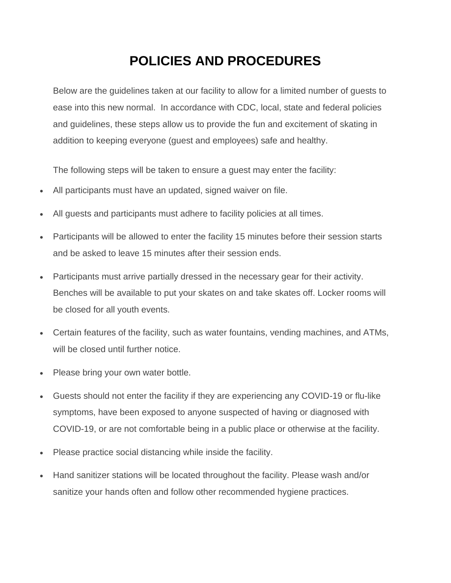## **POLICIES AND PROCEDURES**

Below are the guidelines taken at our facility to allow for a limited number of guests to ease into this new normal. In accordance with CDC, local, state and federal policies and guidelines, these steps allow us to provide the fun and excitement of skating in addition to keeping everyone (guest and employees) safe and healthy.

The following steps will be taken to ensure a guest may enter the facility:

- All participants must have an updated, signed waiver on file.
- All guests and participants must adhere to facility policies at all times.
- Participants will be allowed to enter the facility 15 minutes before their session starts and be asked to leave 15 minutes after their session ends.
- Participants must arrive partially dressed in the necessary gear for their activity. Benches will be available to put your skates on and take skates off. Locker rooms will be closed for all youth events.
- Certain features of the facility, such as water fountains, vending machines, and ATMs, will be closed until further notice.
- Please bring your own water bottle.
- Guests should not enter the facility if they are experiencing any COVID-19 or flu-like symptoms, have been exposed to anyone suspected of having or diagnosed with COVID-19, or are not comfortable being in a public place or otherwise at the facility.
- Please practice social distancing while inside the facility.
- Hand sanitizer stations will be located throughout the facility. Please wash and/or sanitize your hands often and follow other recommended hygiene practices.